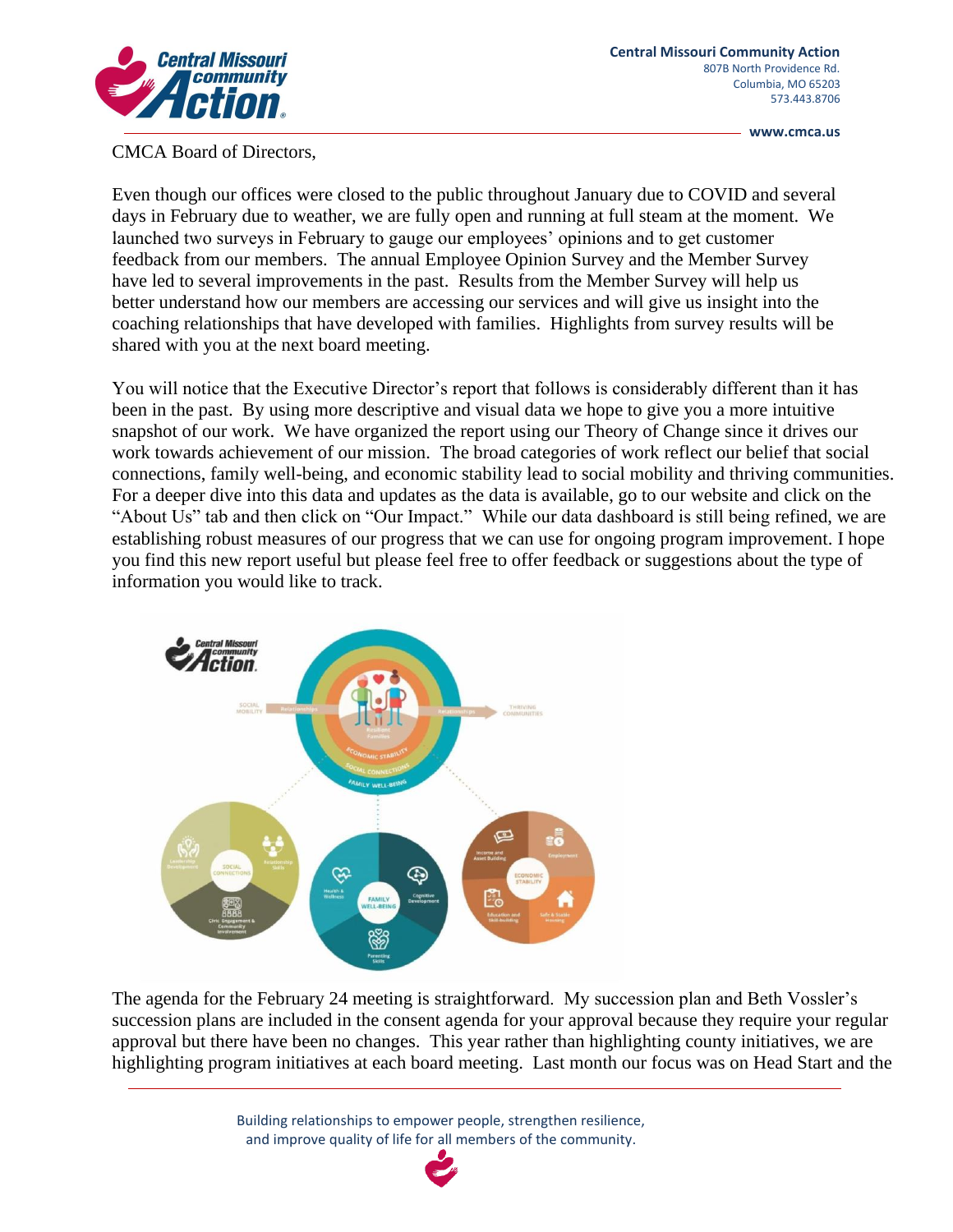

**www.cmca.us**

CMCA Board of Directors,

Even though our offices were closed to the public throughout January due to COVID and several days in February due to weather, we are fully open and running at full steam at the moment. We launched two surveys in February to gauge our employees' opinions and to get customer feedback from our members. The annual Employee Opinion Survey and the Member Survey have led to several improvements in the past. Results from the Member Survey will help us better understand how our members are accessing our services and will give us insight into the coaching relationships that have developed with families. Highlights from survey results will be shared with you at the next board meeting.

You will notice that the Executive Director's report that follows is considerably different than it has been in the past. By using more descriptive and visual data we hope to give you a more intuitive snapshot of our work. We have organized the report using our Theory of Change since it drives our work towards achievement of our mission. The broad categories of work reflect our belief that social connections, family well-being, and economic stability lead to social mobility and thriving communities. For a deeper dive into this data and updates as the data is available, go to our website and click on the "About Us" tab and then click on "Our Impact." While our data dashboard is still being refined, we are establishing robust measures of our progress that we can use for ongoing program improvement. I hope you find this new report useful but please feel free to offer feedback or suggestions about the type of information you would like to track.



The agenda for the February 24 meeting is straightforward. My succession plan and Beth Vossler's succession plans are included in the consent agenda for your approval because they require your regular approval but there have been no changes. This year rather than highlighting county initiatives, we are highlighting program initiatives at each board meeting. Last month our focus was on Head Start and the

> Building relationships to empower people, strengthen resilience, and improve quality of life for all members of the community.